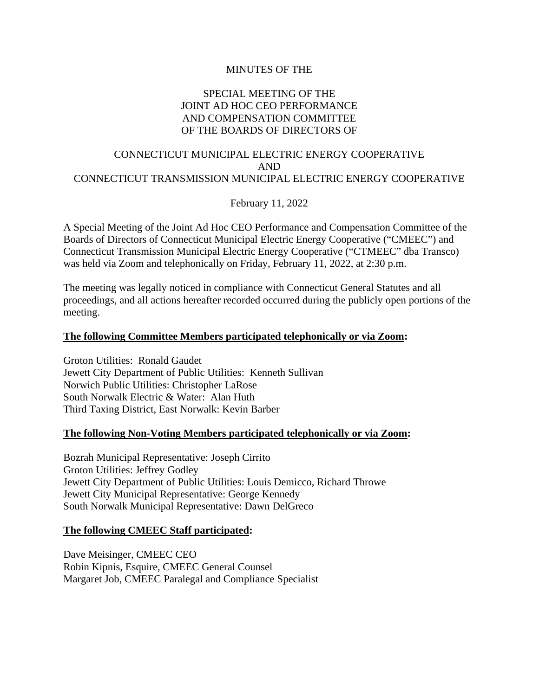# MINUTES OF THE

# SPECIAL MEETING OF THE JOINT AD HOC CEO PERFORMANCE AND COMPENSATION COMMITTEE OF THE BOARDS OF DIRECTORS OF

# CONNECTICUT MUNICIPAL ELECTRIC ENERGY COOPERATIVE AND CONNECTICUT TRANSMISSION MUNICIPAL ELECTRIC ENERGY COOPERATIVE

February 11, 2022

A Special Meeting of the Joint Ad Hoc CEO Performance and Compensation Committee of the Boards of Directors of Connecticut Municipal Electric Energy Cooperative ("CMEEC") and Connecticut Transmission Municipal Electric Energy Cooperative ("CTMEEC" dba Transco) was held via Zoom and telephonically on Friday, February 11, 2022, at 2:30 p.m.

The meeting was legally noticed in compliance with Connecticut General Statutes and all proceedings, and all actions hereafter recorded occurred during the publicly open portions of the meeting.

# **The following Committee Members participated telephonically or via Zoom:**

Groton Utilities: Ronald Gaudet Jewett City Department of Public Utilities: Kenneth Sullivan Norwich Public Utilities: Christopher LaRose South Norwalk Electric & Water: Alan Huth Third Taxing District, East Norwalk: Kevin Barber

#### **The following Non-Voting Members participated telephonically or via Zoom:**

Bozrah Municipal Representative: Joseph Cirrito Groton Utilities: Jeffrey Godley Jewett City Department of Public Utilities: Louis Demicco, Richard Throwe Jewett City Municipal Representative: George Kennedy South Norwalk Municipal Representative: Dawn DelGreco

#### **The following CMEEC Staff participated:**

Dave Meisinger, CMEEC CEO Robin Kipnis, Esquire, CMEEC General Counsel Margaret Job, CMEEC Paralegal and Compliance Specialist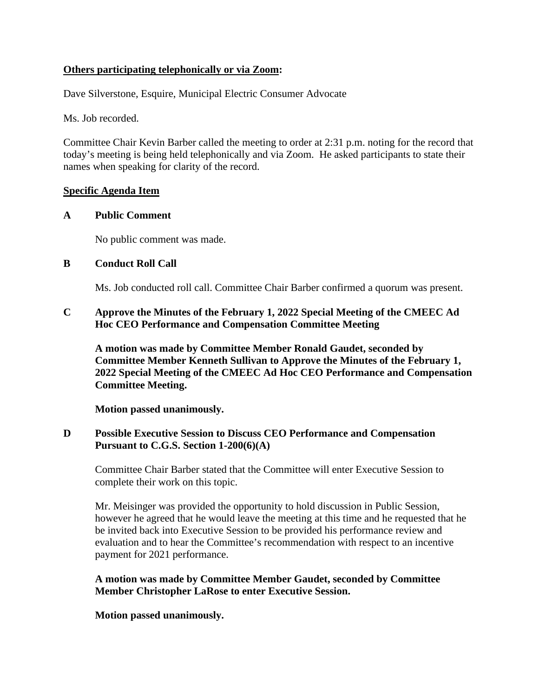# **Others participating telephonically or via Zoom:**

Dave Silverstone, Esquire, Municipal Electric Consumer Advocate

Ms. Job recorded.

Committee Chair Kevin Barber called the meeting to order at 2:31 p.m. noting for the record that today's meeting is being held telephonically and via Zoom. He asked participants to state their names when speaking for clarity of the record.

# **Specific Agenda Item**

### **A Public Comment**

No public comment was made.

### **B Conduct Roll Call**

Ms. Job conducted roll call. Committee Chair Barber confirmed a quorum was present.

# **C Approve the Minutes of the February 1, 2022 Special Meeting of the CMEEC Ad Hoc CEO Performance and Compensation Committee Meeting**

**A motion was made by Committee Member Ronald Gaudet, seconded by Committee Member Kenneth Sullivan to Approve the Minutes of the February 1, 2022 Special Meeting of the CMEEC Ad Hoc CEO Performance and Compensation Committee Meeting.**

**Motion passed unanimously.**

# **D Possible Executive Session to Discuss CEO Performance and Compensation Pursuant to C.G.S. Section 1-200(6)(A)**

Committee Chair Barber stated that the Committee will enter Executive Session to complete their work on this topic.

Mr. Meisinger was provided the opportunity to hold discussion in Public Session, however he agreed that he would leave the meeting at this time and he requested that he be invited back into Executive Session to be provided his performance review and evaluation and to hear the Committee's recommendation with respect to an incentive payment for 2021 performance.

# **A motion was made by Committee Member Gaudet, seconded by Committee Member Christopher LaRose to enter Executive Session.**

**Motion passed unanimously.**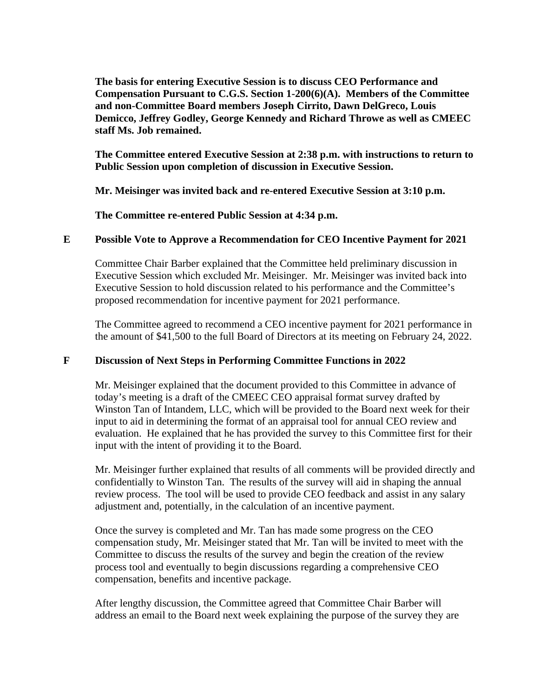**The basis for entering Executive Session is to discuss CEO Performance and Compensation Pursuant to C.G.S. Section 1-200(6)(A). Members of the Committee and non-Committee Board members Joseph Cirrito, Dawn DelGreco, Louis Demicco, Jeffrey Godley, George Kennedy and Richard Throwe as well as CMEEC staff Ms. Job remained.**

**The Committee entered Executive Session at 2:38 p.m. with instructions to return to Public Session upon completion of discussion in Executive Session.**

**Mr. Meisinger was invited back and re-entered Executive Session at 3:10 p.m.**

**The Committee re-entered Public Session at 4:34 p.m.**

# **E Possible Vote to Approve a Recommendation for CEO Incentive Payment for 2021**

Committee Chair Barber explained that the Committee held preliminary discussion in Executive Session which excluded Mr. Meisinger. Mr. Meisinger was invited back into Executive Session to hold discussion related to his performance and the Committee's proposed recommendation for incentive payment for 2021 performance.

The Committee agreed to recommend a CEO incentive payment for 2021 performance in the amount of \$41,500 to the full Board of Directors at its meeting on February 24, 2022.

# **F Discussion of Next Steps in Performing Committee Functions in 2022**

Mr. Meisinger explained that the document provided to this Committee in advance of today's meeting is a draft of the CMEEC CEO appraisal format survey drafted by Winston Tan of Intandem, LLC, which will be provided to the Board next week for their input to aid in determining the format of an appraisal tool for annual CEO review and evaluation. He explained that he has provided the survey to this Committee first for their input with the intent of providing it to the Board.

Mr. Meisinger further explained that results of all comments will be provided directly and confidentially to Winston Tan. The results of the survey will aid in shaping the annual review process. The tool will be used to provide CEO feedback and assist in any salary adjustment and, potentially, in the calculation of an incentive payment.

Once the survey is completed and Mr. Tan has made some progress on the CEO compensation study, Mr. Meisinger stated that Mr. Tan will be invited to meet with the Committee to discuss the results of the survey and begin the creation of the review process tool and eventually to begin discussions regarding a comprehensive CEO compensation, benefits and incentive package.

After lengthy discussion, the Committee agreed that Committee Chair Barber will address an email to the Board next week explaining the purpose of the survey they are